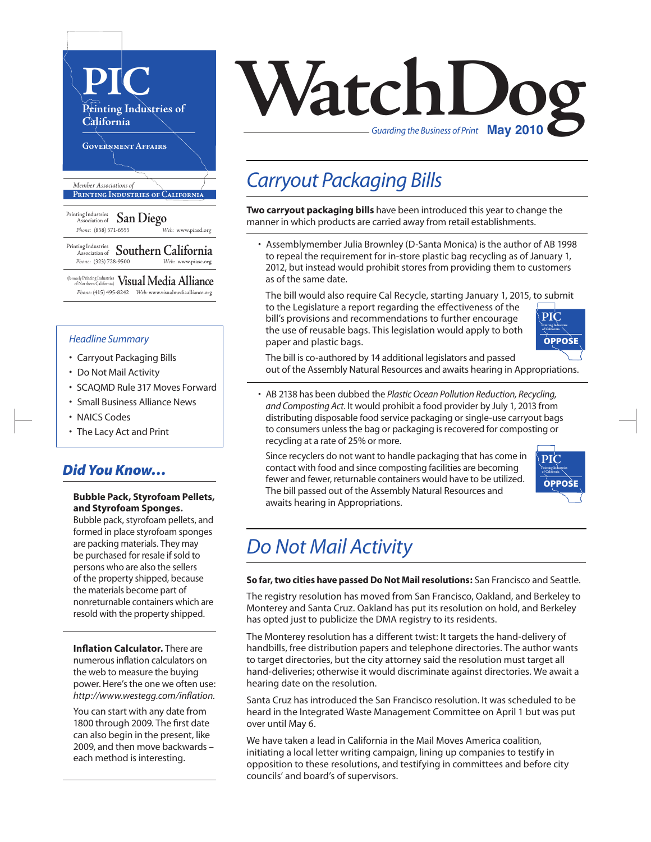

#### *Headline Summary*

- Carryout Packaging Bills
- Do Not Mail Activity
- SCAQMD Rule 317 Moves Forward
- Small Business Alliance News
- NAICS Codes
- The Lacy Act and Print

#### *Did You Know…*

#### **Bubble Pack, Styrofoam Pellets, and Styrofoam Sponges.**

Bubble pack, styrofoam pellets, and formed in place styrofoam sponges are packing materials. They may be purchased for resale if sold to persons who are also the sellers of the property shipped, because the materials become part of nonreturnable containers which are resold with the property shipped.

**Inflation Calculator.** There are numerous inflation calculators on the web to measure the buying power. Here's the one we often use: *http://www.westegg.com/inflation.*

You can start with any date from 1800 through 2009. The first date can also begin in the present, like 2009, and then move backwards – each method is interesting.

# $\mathcal{N}$ atc $\mathcal{N}$ *Guarding the Business of Print*

### *Carryout Packaging Bills*

**Two carryout packaging bills** have been introduced this year to change the manner in which products are carried away from retail establishments.

• Assemblymember Julia Brownley (D-Santa Monica) is the author of AB 1998 to repeal the requirement for in-store plastic bag recycling as of January 1, 2012, but instead would prohibit stores from providing them to customers as of the same date.

The bill would also require Cal Recycle, starting January 1, 2015, to submit to the Legislature a report regarding the effectiveness of the bill's provisions and recommendations to further encourage the use of reusable bags. This legislation would apply to both paper and plastic bags. **PIC Printing Industries of California**



The bill is co-authored by 14 additional legislators and passed out of the Assembly Natural Resources and awaits hearing in Appropriations.

• AB 2138 has been dubbed the *Plastic Ocean Pollution Reduction, Recycling, and Composting Act*. It would prohibit a food provider by July 1, 2013 from distributing disposable food service packaging or single-use carryout bags to consumers unless the bag or packaging is recovered for composting or recycling at a rate of 25% or more.

Since recyclers do not want to handle packaging that has come in contact with food and since composting facilities are becoming fewer and fewer, returnable containers would have to be utilized. The bill passed out of the Assembly Natural Resources and awaits hearing in Appropriations.



## *Do Not Mail Activity*

**So far, two cities have passed Do Not Mail resolutions:** San Francisco and Seattle.

The registry resolution has moved from San Francisco, Oakland, and Berkeley to Monterey and Santa Cruz. Oakland has put its resolution on hold, and Berkeley has opted just to publicize the DMA registry to its residents.

The Monterey resolution has a different twist: It targets the hand-delivery of handbills, free distribution papers and telephone directories. The author wants to target directories, but the city attorney said the resolution must target all hand-deliveries; otherwise it would discriminate against directories. We await a hearing date on the resolution.

Santa Cruz has introduced the San Francisco resolution. It was scheduled to be heard in the Integrated Waste Management Committee on April 1 but was put over until May 6.

We have taken a lead in California in the Mail Moves America coalition, initiating a local letter writing campaign, lining up companies to testify in opposition to these resolutions, and testifying in committees and before city councils' and board's of supervisors.